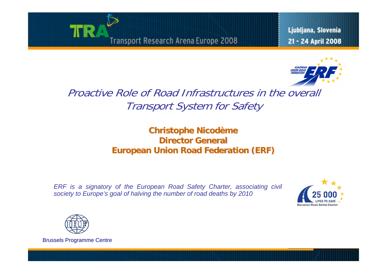



Proactive Role of Road Infrastructures in the overall Transport System for Safety

> **Christophe Christophe Nicod ème Director General European Union Road Federation (ERF) European Union Road Federation (ERF)**

*ERF is a signatory of the European Road Safety Charter, associating civil society to Europe's goal of halving the number of road deaths by 2010*





Brussels Programme Centre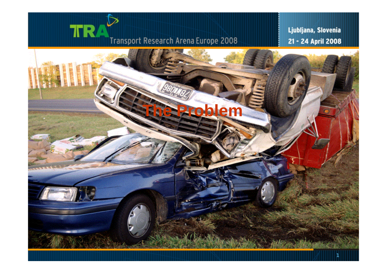

Ljubljana, Slovenia 21 - 24 April 2008

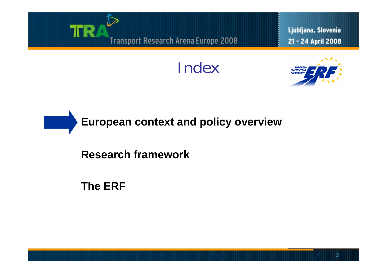

**The ERF**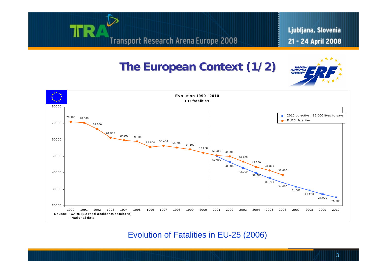

### **The European Context (1/2) The European Context (1/2)**





Evolution of Fatalities in EU-25 (2006)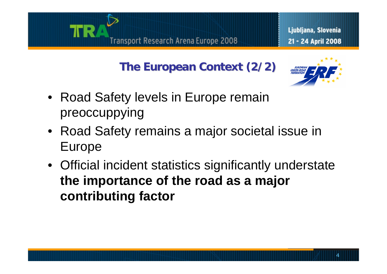

**The European Context (2/2) The European Context (2/2)**



- Road Safety levels in Europe remain preoccuppying
- Road Safety remains a major societal issue in Europe
- Official incident statistics significantly understate **the importance of the road as a major contributing factor**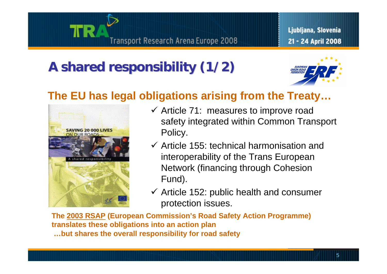

## **A shared responsibility (1/2) A shared responsibility (1/2)**



## **The EU has legal obligations arising from the Treaty…**



- $\checkmark$  Article 71: measures to improve road safety integrated within Common Transport Policy.
- $\checkmark$  Article 155: technical harmonisation and interoperability of the Trans European Network (financing through Cohesion Fund).
- $\checkmark$  Article 152: public health and consumer protection issues.

**The 2003 RSAP (European Commission's Road Safety Action Programme) translates these obligations into an action plan …but shares the overall responsibility for road safety**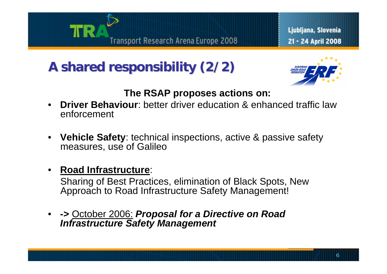

## **A shared responsibility (2/2) A shared responsibility (2/2)**



### **The RSAP proposes actions on:**

- $\bullet$ **Driver Behaviour:** better driver education & enhanced traffic law enforcement
- **Vehicle Safety**: technical inspections, active & passive safety measures, use of Galileo
- **Road Infrastructure**:

Sharing of Best Practices, elimination of Black Spots, New Approach to Road Infrastructure Safety Management!

 $\bullet$  **->** October 2006: *Proposal for a Directive on Road Infrastructure Safety Management*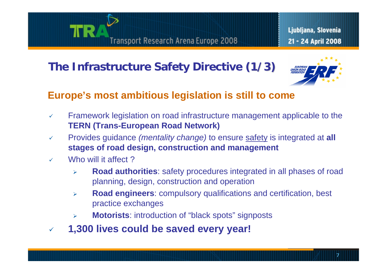

## **The Infrastructure Safety Directive (1/3)**



### **Europe's most ambitious legislation is still to come**

- $\checkmark$  Framework legislation on road infrastructure management applicable to the **TERN (Trans-European Road Network)**
- $\checkmark$  Provides guidance *(mentality change)* to ensure safety is integrated at **all stages of road design, construction and management**
- $\checkmark$ Who will it affect?
	- $\blacktriangleright$  **Road authorities**: safety procedures integrated in all phases of road planning, design, construction and operation
	- $\blacktriangleright$  **Road engineers**: compulsory qualifications and certification, best practice exchanges
	- $\blacktriangleright$ **Motorists**: introduction of "black spots" signposts
- $\checkmark$ **1,300 lives could be saved every year!**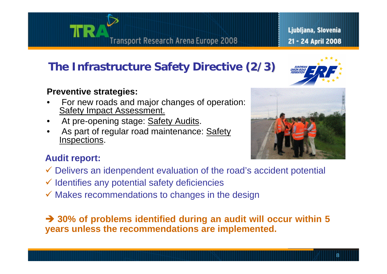## **The Infrastructure Safety Directive (2/3)**

#### **Preventive strategies:**

- • For new roads and major changes of operation: Safety Impact Assessment.
- •At pre-opening stage: **Safety Audits**.
- •As part of regular road maintenance: Safety Inspections.

#### **Audit report:**

- $\checkmark$  Delivers an idenpendent evaluation of the road's accident potential
- $\checkmark$  Identifies any potential safety deficiencies
- $\checkmark$  Makes recommendations to changes in the design

Î **30% of problems identified during an audit will occur within 5 years unless the recommendations are implemented.**



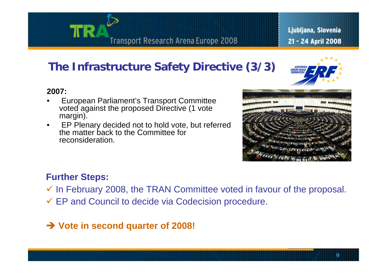## **The Infrastructure Safety Directive (3/3)**

#### **2007:**

- • European Parliament's Transport Committee voted against the proposed Directive (1 vote margin).
- • EP Plenary decided not to hold vote, but referred the matter back to the Committee for reconsideration.

#### **Further Steps:**

 $\checkmark$  In February 2008, the TRAN Committee voted in favour of the proposal.

 $\checkmark$  EP and Council to decide via Codecision procedure.

#### Î **Vote in second quarter of 2008!**





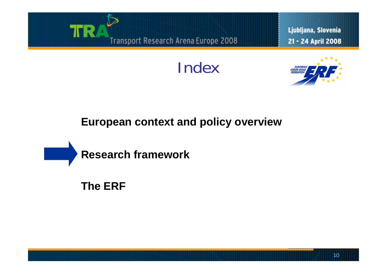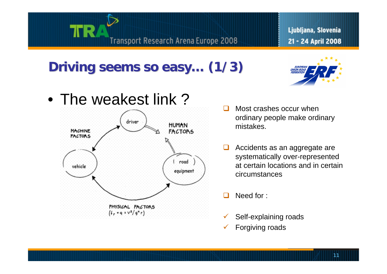

## **Driving seems so easy Driving seems so easy … (1/3)**



- The weakest link ? driver **HUMAN MACHINE FACTORS FACTORS** road vehicle equipment PHYSICAL FACTORS  $(1, +q = v^2/g^*r)$
- $\Box$  Most crashes occur when ordinary people make ordinary mistakes.
- $\Box$  Accidents as an aggregate are systematically over-represented at certain locations and in certain circumstances
- П Need for :
- $\checkmark$ Self-explaining roads
- $\checkmark$ Forgiving roads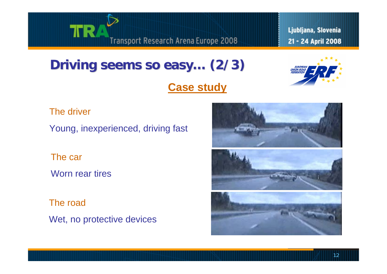

## **Driving seems so easy... (2/3)**

## **Case study**



#### The driver

Young, inexperienced, driving fast

The car

Worn rear tires

The road Wet, no protective devices





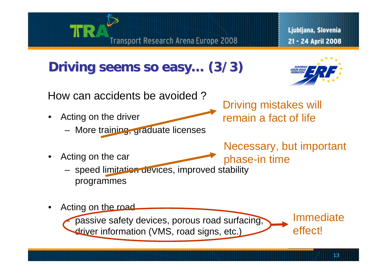

## **Driving seems so easy Driving seems so easy … (3/3)**



How can accidents be avoided ?• Acting on the driver –More training, graduate licenses  $\bullet$  Acting on the car –speed limitation devices, improved stability programmes • Acting on the road – passive safety devices, porous road surfacing, Driving mistakes will remain a fact of lifeNecessary, but important phase-in time Immediate

driver information (VMS, road signs, etc.)

effect!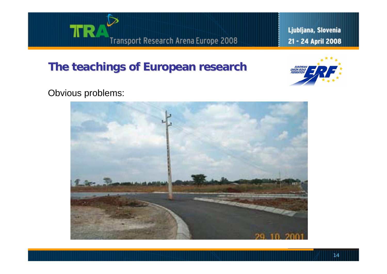

Ljubljana, Slovenia 21 - 24 April 2008

## **The teachings of European research The teachings of European research**



Obvious problems:

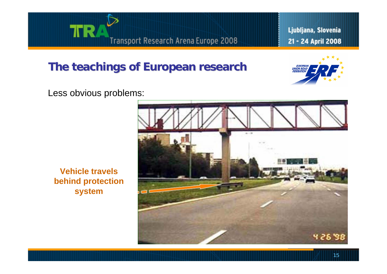## **The teachings of European research The teachings of European research**

Ljubljana, Slovenia 21 - 24 April 2008



Less obvious problems:

TR



**Vehicle travels behind protection system**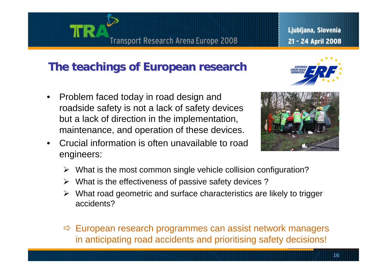

## **The teachings of European research The teachings of European research**

- • Problem faced today in road design and roadside safety is not a lack of safety devices but a lack of direction in the implementation, maintenance, and operation of these devices.
- • Crucial information is often unavailable to road engineers:





- $\triangleright$  What is the most common single vehicle collision configuration?
- $\blacktriangleright$ What is the effectiveness of passive safety devices ?
- $\blacktriangleright$  What road geometric and surface characteristics are likely to trigger accidents?
- $\Rightarrow$  European research programmes can assist network managers in anticipating road accidents and prioritising safety decisions!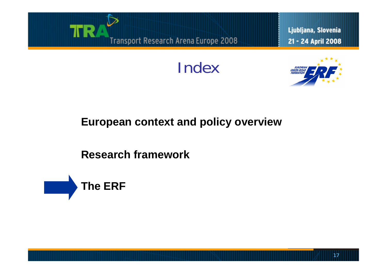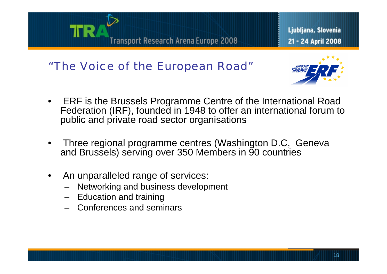![](_page_18_Picture_0.jpeg)

### "The Voice of the European Road"

![](_page_18_Picture_2.jpeg)

- ERF is the Brussels Programme Centre of the International Road Federation (IRF), founded in 1948 to offer an international forum to public and private road sector organisations
- • Three regional programme centres (Washington D.C, Geneva and Brussels) serving over 350 Members in 90 countries
- $\bullet$  An unparalleled range of services:
	- Networking and business development
	- Education and training
	- Conferences and seminars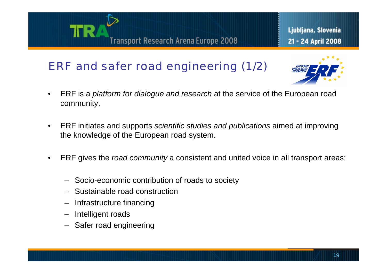![](_page_19_Picture_0.jpeg)

## ERF and safer road engineering (1/2)

![](_page_19_Picture_3.jpeg)

- $\bullet$  ERF is a *platform for dialogue and research* at the service of the European road community.
- $\bullet$  ERF initiates and supports *scientific studies and publications* aimed at improving the knowledge of the European road system.
- • ERF gives the *road community* a consistent and united voice in all transport areas:
	- –Socio-economic contribution of roads to society
	- Sustainable road construction
	- Infrastructure financing
	- Intelligent roads
	- Safer road engineering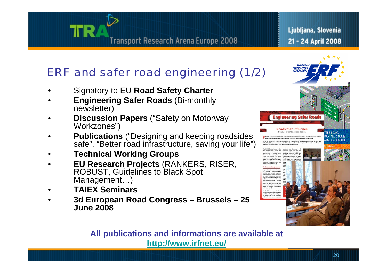## ERF and safer road engineering (1/2)

- •Signatory to EU **Road Safety Charter**
- • **Engineering Safer Roads** (Bi-monthly newsletter)
- • **Discussion Papers** ("Safety on Motorway Workzones")
- • **Publications** ("Designing and keeping roadsides safe", "Better road infrastructure, saving your life")
- •**Technical Working Groups**
- • **EU Research Projects** (RANKERS, RISER, ROBUST, Guidelines to Black Spot Management…)
- •**TAIEX Seminars**
- • **3d European Road Congress – Brussels – 25 June 2008**

![](_page_20_Picture_10.jpeg)

**All publications and informations are available at http://www.irfnet.eu/**

Ljubljana, Slovenia 21 - 24 April 2008